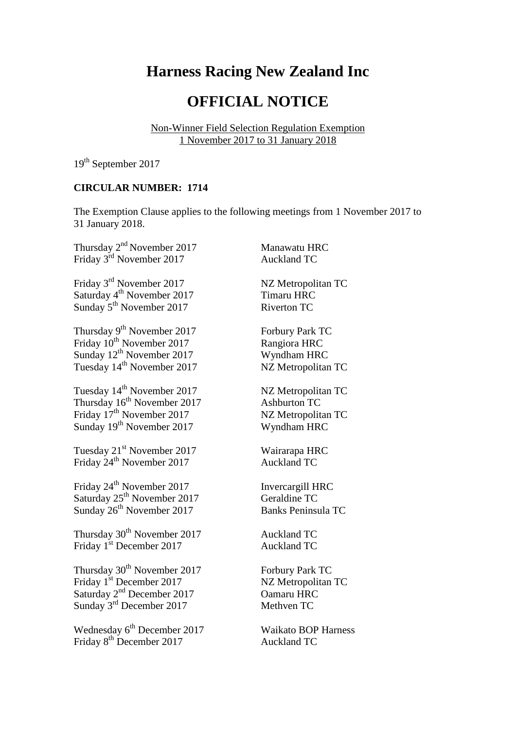# **Harness Racing New Zealand Inc**

## **OFFICIAL NOTICE**

Non-Winner Field Selection Regulation Exemption 1 November 2017 to 31 January 2018

19<sup>th</sup> September 2017

### **CIRCULAR NUMBER: 1714**

The Exemption Clause applies to the following meetings from 1 November 2017 to 31 January 2018.

Thursday 2<sup>nd</sup> November 2017 Manawatu HRC Friday 3<sup>rd</sup> November 2017 Auckland TC

Friday 3<sup>rd</sup> November 2017 NZ Metropolitan TC Saturday 4<sup>th</sup> November 2017 Timaru HRC Sunday <sup>1</sup> November 2017 **Riverton TC**<br>
Riverton TC

Thursday 9<sup>th</sup> November 2017 Forbury Park TC Friday 10<sup>th</sup> November 2017 Rangiora HRC Sunday 12<sup>th</sup> November 2017 Wyndham HRC Tuesday 14<sup>th</sup> November 2017 NZ Metropolitan TC

Tuesday 14<sup>th</sup> November 2017 NZ Metropolitan TC Thursday 16<sup>th</sup> November 2017 Ashburton TC Friday 17<sup>th</sup> November 2017 NZ Metropolitan TC Sunday 19<sup>th</sup> November 2017 Wyndham HRC

Tuesday 21<sup>st</sup> November 2017 Wairarapa HRC Friday 24<sup>th</sup> November 2017 **Auckland TC** 

Friday 24<sup>th</sup> November 2017 **Invercargill HRC** Saturday 25<sup>th</sup> November 2017 Geraldine TC Sunday 26<sup>th</sup> November 2017 Banks Peninsula TC

Thursday 30<sup>th</sup> November 2017 Auckland TC Friday 1<sup>st</sup> December 2017 Auckland TC

Thursday 30<sup>th</sup> November 2017 Forbury Park TC Friday 1<sup>st</sup> December 2017 NZ Metropolitan TC Saturday 2<sup>nd</sup> December 2017 Camaru HRC  $\frac{3}{2}$ Sunday 3<sup>rd</sup> December 2017 Methven TC

Wednesday 6<sup>th</sup> December 2017 Waikato BOP Harness Friday 8<sup>th</sup> December 2017 Auckland TC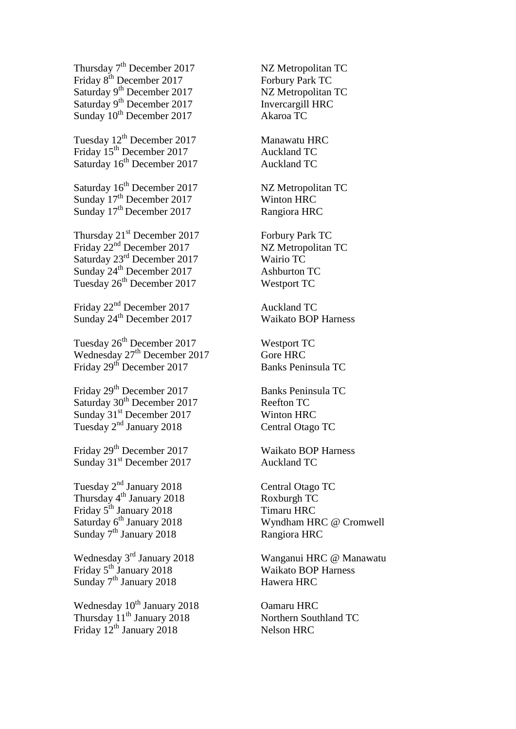Thursday  $7<sup>th</sup>$  December 2017 NZ Metropolitan TC Friday 8<sup>th</sup> December 2017 Forbury Park TC Saturday 9<sup>th</sup> December 2017 NZ Metropolitan TC Saturday 9<sup>th</sup> December 2017 **Invercargill HRC** Sunday 10<sup>th</sup> December 2017 Akaroa TC

Tuesday  $12^{th}$  December 2017 Manawatu HRC Friday 15<sup>th</sup> December 2017 **Auckland TC** Saturday 16<sup>th</sup> December 2017 Auckland TC

Saturday 16<sup>th</sup> December 2017 NZ Metropolitan TC Sunday 17<sup>th</sup> December 2017 Winton HRC Sunday 17<sup>th</sup> December 2017 Rangiora HRC

Thursday 21<sup>st</sup> December 2017 Forbury Park TC Friday  $22<sup>nd</sup>$  December 2017 NZ Metropolitan TC Saturday 23<sup>rd</sup> December 2017 Wairio TC Sunday 24<sup>th</sup> December 2017 Ashburton TC Tuesday 26<sup>th</sup> December 2017 Westport TC

Friday  $22<sup>nd</sup>$  December 2017 Auckland TC Sunday 24<sup>th</sup> December 2017 Waikato BOP Harness

Tuesday 26<sup>th</sup> December 2017 Westport TC Wednesday 27<sup>th</sup> December 2017 Gore HRC Friday 29<sup>th</sup> December 2017 Banks Peninsula TC

Friday 29<sup>th</sup> December 2017 Banks Peninsula TC Saturday 30<sup>th</sup> December 2017 Reefton TC Sunday 31<sup>st</sup> December 2017 Winton HRC Tuesday 2nd January 2018 Central Otago TC

Friday 29<sup>th</sup> December 2017 Waikato BOP Harness Sunday 31<sup>st</sup> December 2017 Auckland TC

Tuesday 2<sup>nd</sup> January 2018 Central Otago TC Thursday 4<sup>th</sup> January 2018 Roxburgh TC Friday 5<sup>th</sup> January 2018 Timaru HRC Sunday 7<sup>th</sup> January 2018 Rangiora HRC

Wednesday 3rd January 2018 Wanganui HRC @ Manawatu Friday 5<sup>th</sup> January 2018 Waikato BOP Harness Sunday  $7<sup>th</sup>$  January 2018 Hawera HRC

Wednesday  $10^{th}$  January 2018 Camaru HRC Thursday 11<sup>th</sup> January 2018 Northern Southland TC Friday  $12^{th}$  January 2018 Nelson HRC

Saturday 6<sup>th</sup> January 2018 Wyndham HRC @ Cromwell